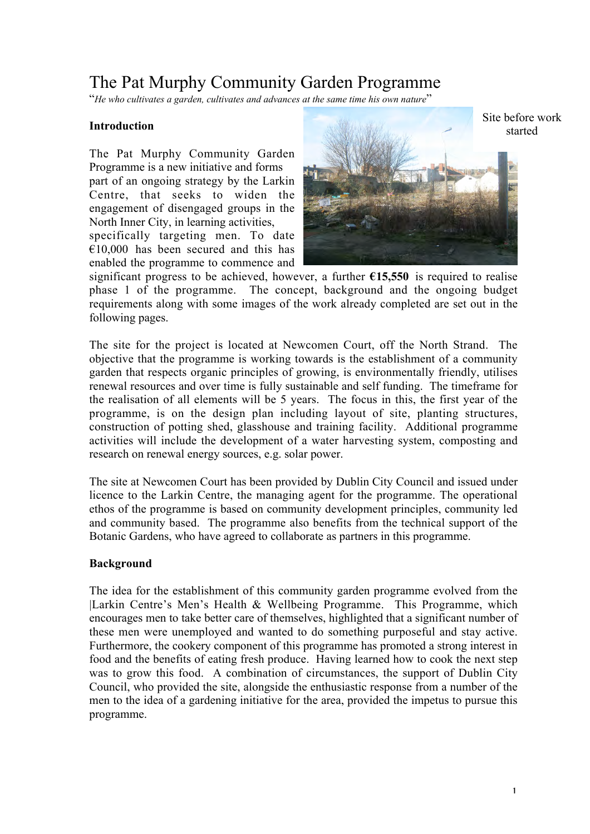# The Pat Murphy Community Garden Programme

"*He who cultivates a garden, cultivates and advances at the same time his own nature*"

#### **Introduction**

The Pat Murphy Community Garden Programme is a new initiative and forms part of an ongoing strategy by the Larkin Centre, that seeks to widen the engagement of disengaged groups in the North Inner City, in learning activities, specifically targeting men. To date  $€10,000$  has been secured and this has enabled the programme to commence and



significant progress to be achieved, however, a further **€15,550** is required to realise phase 1 of the programme. The concept, background and the ongoing budget requirements along with some images of the work already completed are set out in the following pages.

The site for the project is located at Newcomen Court, off the North Strand. The objective that the programme is working towards is the establishment of a community garden that respects organic principles of growing, is environmentally friendly, utilises renewal resources and over time is fully sustainable and self funding. The timeframe for the realisation of all elements will be 5 years. The focus in this, the first year of the programme, is on the design plan including layout of site, planting structures, construction of potting shed, glasshouse and training facility. Additional programme activities will include the development of a water harvesting system, composting and research on renewal energy sources, e.g. solar power.

The site at Newcomen Court has been provided by Dublin City Council and issued under licence to the Larkin Centre, the managing agent for the programme. The operational ethos of the programme is based on community development principles, community led and community based. The programme also benefits from the technical support of the Botanic Gardens, who have agreed to collaborate as partners in this programme.

#### **Background**

The idea for the establishment of this community garden programme evolved from the |Larkin Centre's Men's Health & Wellbeing Programme. This Programme, which encourages men to take better care of themselves, highlighted that a significant number of these men were unemployed and wanted to do something purposeful and stay active. Furthermore, the cookery component of this programme has promoted a strong interest in food and the benefits of eating fresh produce. Having learned how to cook the next step was to grow this food. A combination of circumstances, the support of Dublin City Council, who provided the site, alongside the enthusiastic response from a number of the men to the idea of a gardening initiative for the area, provided the impetus to pursue this programme.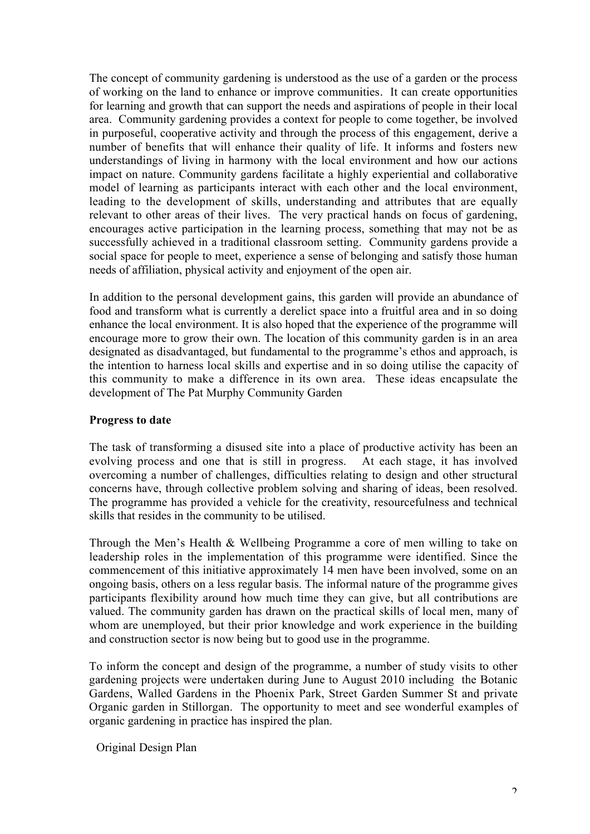The concept of community gardening is understood as the use of a garden or the process of working on the land to enhance or improve communities. It can create opportunities for learning and growth that can support the needs and aspirations of people in their local area. Community gardening provides a context for people to come together, be involved in purposeful, cooperative activity and through the process of this engagement, derive a number of benefits that will enhance their quality of life. It informs and fosters new understandings of living in harmony with the local environment and how our actions impact on nature. Community gardens facilitate a highly experiential and collaborative model of learning as participants interact with each other and the local environment, leading to the development of skills, understanding and attributes that are equally relevant to other areas of their lives. The very practical hands on focus of gardening, encourages active participation in the learning process, something that may not be as successfully achieved in a traditional classroom setting. Community gardens provide a social space for people to meet, experience a sense of belonging and satisfy those human needs of affiliation, physical activity and enjoyment of the open air.

In addition to the personal development gains, this garden will provide an abundance of food and transform what is currently a derelict space into a fruitful area and in so doing enhance the local environment. It is also hoped that the experience of the programme will encourage more to grow their own. The location of this community garden is in an area designated as disadvantaged, but fundamental to the programme's ethos and approach, is the intention to harness local skills and expertise and in so doing utilise the capacity of this community to make a difference in its own area. These ideas encapsulate the development of The Pat Murphy Community Garden

#### **Progress to date**

The task of transforming a disused site into a place of productive activity has been an evolving process and one that is still in progress. At each stage, it has involved overcoming a number of challenges, difficulties relating to design and other structural concerns have, through collective problem solving and sharing of ideas, been resolved. The programme has provided a vehicle for the creativity, resourcefulness and technical skills that resides in the community to be utilised.

Through the Men's Health & Wellbeing Programme a core of men willing to take on leadership roles in the implementation of this programme were identified. Since the commencement of this initiative approximately 14 men have been involved, some on an ongoing basis, others on a less regular basis. The informal nature of the programme gives participants flexibility around how much time they can give, but all contributions are valued. The community garden has drawn on the practical skills of local men, many of whom are unemployed, but their prior knowledge and work experience in the building and construction sector is now being but to good use in the programme.

To inform the concept and design of the programme, a number of study visits to other gardening projects were undertaken during June to August 2010 including the Botanic Gardens, Walled Gardens in the Phoenix Park, Street Garden Summer St and private Organic garden in Stillorgan. The opportunity to meet and see wonderful examples of organic gardening in practice has inspired the plan.

Original Design Plan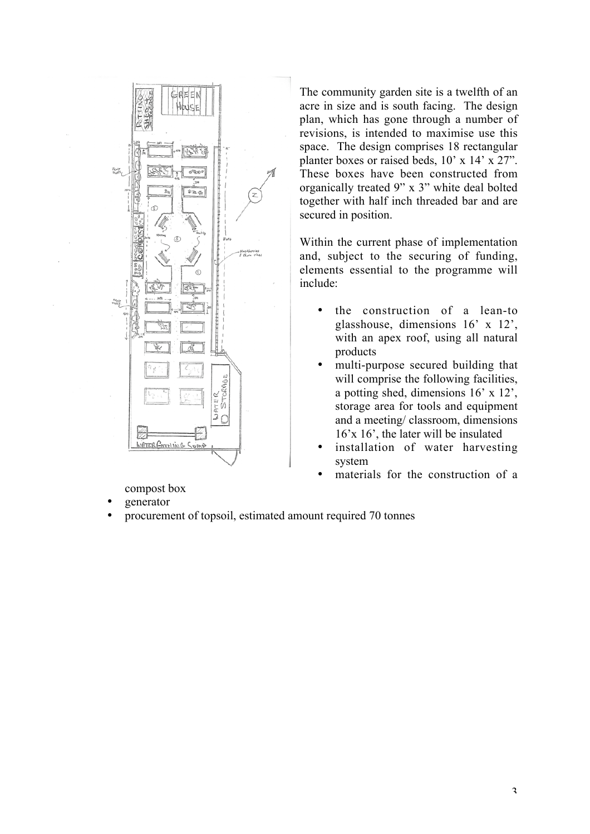

compost box

- generator
- procurement of topsoil, estimated amount required 70 tonnes

The community garden site is a twelfth of an acre in size and is south facing. The design plan, which has gone through a number of revisions, is intended to maximise use this space. The design comprises 18 rectangular planter boxes or raised beds, 10' x 14' x 27". These boxes have been constructed from organically treated 9" x 3" white deal bolted together with half inch threaded bar and are secured in position.

Within the current phase of implementation and, subject to the securing of funding, elements essential to the programme will include:

- the construction of a lean-to glasshouse, dimensions 16' x 12', with an apex roof, using all natural products
- multi-purpose secured building that will comprise the following facilities, a potting shed, dimensions 16' x 12', storage area for tools and equipment and a meeting/ classroom, dimensions 16'x 16', the later will be insulated
- installation of water harvesting system
- materials for the construction of a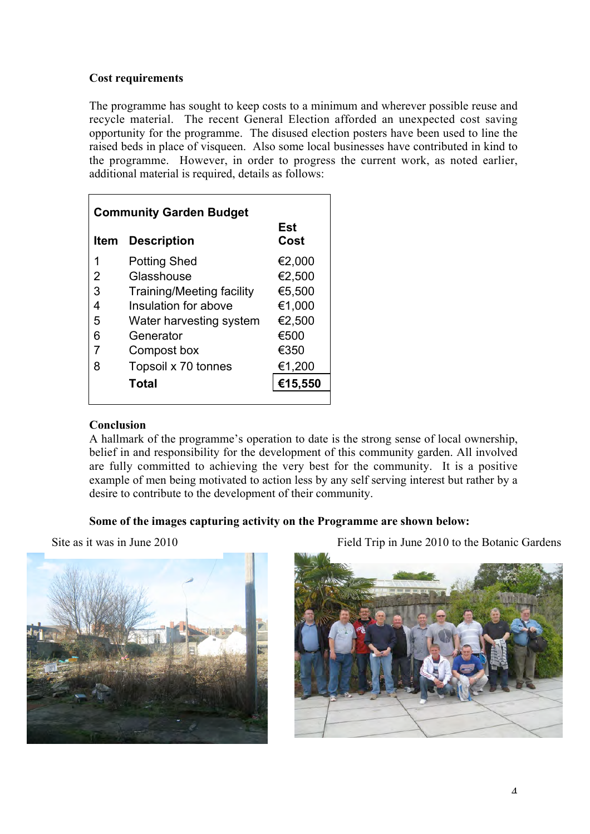### **Cost requirements**

The programme has sought to keep costs to a minimum and wherever possible reuse and recycle material. The recent General Election afforded an unexpected cost saving opportunity for the programme. The disused election posters have been used to line the raised beds in place of visqueen. Also some local businesses have contributed in kind to the programme. However, in order to progress the current work, as noted earlier, additional material is required, details as follows:

| <b>Community Garden Budget</b> |                                  |             |
|--------------------------------|----------------------------------|-------------|
| <b>Item</b>                    | <b>Description</b>               | Est<br>Cost |
| 1                              | <b>Potting Shed</b>              | €2,000      |
| 2                              | Glasshouse                       | €2,500      |
| 3                              | <b>Training/Meeting facility</b> | €5,500      |
| 4                              | Insulation for above             | €1,000      |
| 5                              | Water harvesting system          | €2,500      |
| 6                              | Generator                        | €500        |
|                                | Compost box                      | €350        |
| 8                              | Topsoil x 70 tonnes              | €1,200      |
|                                | Total                            | €15,550     |

# **Conclusion**

A hallmark of the programme's operation to date is the strong sense of local ownership, belief in and responsibility for the development of this community garden. All involved are fully committed to achieving the very best for the community. It is a positive example of men being motivated to action less by any self serving interest but rather by a desire to contribute to the development of their community.

# **Some of the images capturing activity on the Programme are shown below:**



Site as it was in June 2010 Field Trip in June 2010 to the Botanic Gardens